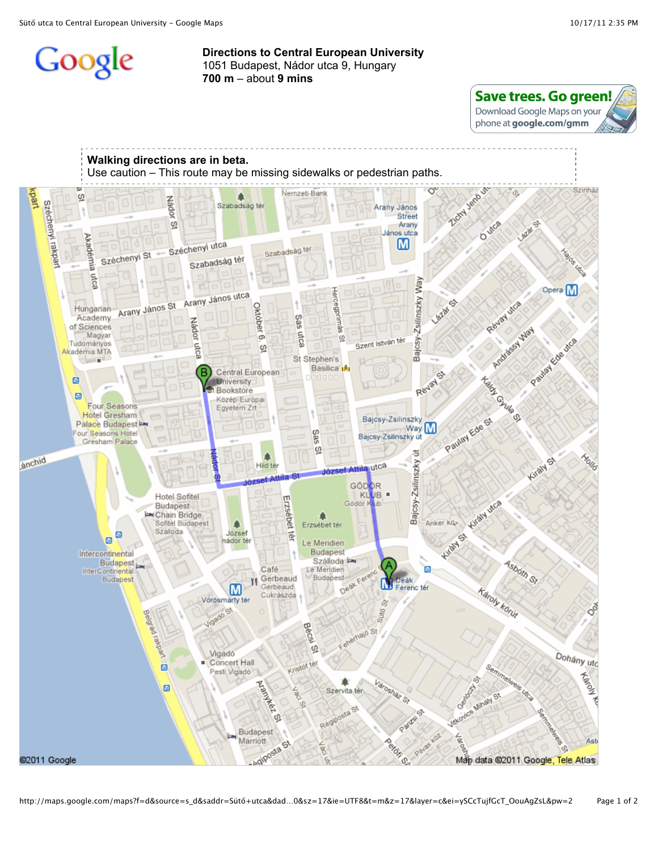

**Directions to Central European University** 1051 Budapest, Nádor utca 9, Hungary **700 m** – about **9 mins**



Map data @2011 Google, Tele Atlas

## **Walking directions are in beta.** Use caution – This route may be missing sidewalks or pedestrian paths.Szinhá Jeno Vemzeti-Bank  $\Omega$ ▲ Nador Széchenyi rakpart Szabadság tér Arany János **Ziony** Street Dutca  $\omega$ Š Arany **AND** János utca Akadémia Széchenyi utca М Szabadság tér **Haydee** Széchenyi St Szabadság tér q, utca Zsilinszky Way Opera M Arany János utca **lercegprimas** Risylay utca 9 Október János St **Artist** Hungarian Arany Academy SBS **Nador** of Sciences **Way** ntca Magyar  $\dot{\sigma}$ Andrews M N Kde Jica Bajcsy-CO Szent István tér r utca Tudományos  $\Omega$ Akadémia MTA St Stephen's Paulay Basilica in Έ Central European S **Taich** Revay e **University** Bookstore **CANG** G Közép-Európai Four Seasons Egyetem Zrt Paulay Ede St **Hotel Gresham** à Bajcsy-Zsilinszky Palace Budapest Way M S8S Four Seasons Hotel Bajcsy-Zsilinszky út Gresham Palace  $\Omega$ Nolle 怎 anchid € \$ Kiraiy Bajcsy-Zsilinszky Hild te Attila utca ef Attila St GÖD ÖR Erzsebet<sup>1</sup> KL UB. ٠ **Hotel Sofitel** utca Gödör K ub Budapest **High** Chain Bridge ۸ Sofitel Budapest Anker kä-£ Erzsébet tér Száloda e József é S, Kitokit e nádor té Le Meridien **Budapest** Intercontinental Budapest<sub>in</sub> Szálloda **La** Asboth St Café Le Meridien ē InterContinental Budapest Gerbeaud Budapest ï١ Deák Deal Ferenc ter Karoly korul  $\blacksquare$ Gerbeaud Cukrászda Vörösmarty tér  $\vec{\phi}$ Beig as rakes Sut6<sub>3</sub> 8 igado **G Bècal** najo St Q Vigadó Dohány utc Concert Hall e Kristot ١è Pesti Vigado Taxoka R Š Gently Bo e E roshar oy Szervita tér Women Minder 정 Q G) S) **Budapest** løo" Marriott Ast 6) elon giposta

## @2011 Google

http://maps.google.com/maps?f=d&source=s\_d&saddr=Sütő+utca&dad…0&sz=17&ie=UTF8&t=m&z=17&layer=c&ei=ySCcTujfGcT\_OouAgZsL&pw=2 Page 1 of 2

٨Ø